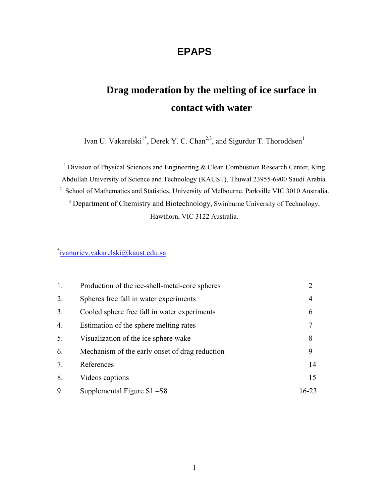# **EPAPS**

# **Drag moderation by the melting of ice surface in contact with water**

Ivan U. Vakarelski<sup>1\*</sup>, Derek Y. C. Chan<sup>2,3</sup>, and Sigurdur T. Thoroddsen<sup>1</sup>

<sup>1</sup> Division of Physical Sciences and Engineering  $\&$  Clean Combustion Research Center, King Abdullah University of Science and Technology (KAUST), Thuwal 23955-6900 Saudi Arabia. <sup>2</sup> School of Mathematics and Statistics, University of Melbourne, Parkville VIC 3010 Australia. <sup>3</sup> Department of Chemistry and Biotechnology, Swinburne University of Technology, Hawthorn, VIC 3122 Australia.

\* ivanuriev.vakarelski@kaust.edu.sa

| 1. | Production of the ice-shell-metal-core spheres | $\overline{2}$ |
|----|------------------------------------------------|----------------|
| 2. | Spheres free fall in water experiments         | 4              |
| 3. | Cooled sphere free fall in water experiments   | 6              |
| 4. | Estimation of the sphere melting rates         | 7              |
| 5. | Visualization of the ice sphere wake           | 8              |
| 6. | Mechanism of the early onset of drag reduction | 9              |
| 7. | References                                     | 14             |
| 8. | Videos captions                                | 15             |
| 9. | Supplemental Figure $S1 - S8$                  | $16 - 23$      |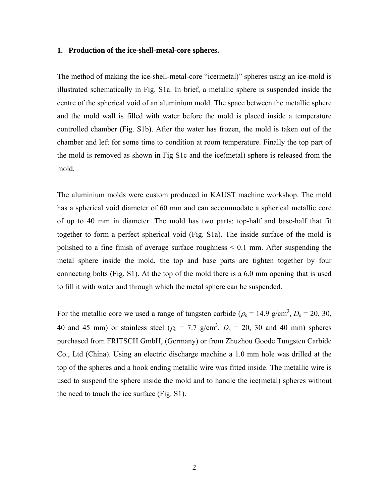#### **1. Production of the ice-shell-metal-core spheres.**

The method of making the ice-shell-metal-core "ice(metal)" spheres using an ice-mold is illustrated schematically in Fig. S1a. In brief, a metallic sphere is suspended inside the centre of the spherical void of an aluminium mold. The space between the metallic sphere and the mold wall is filled with water before the mold is placed inside a temperature controlled chamber (Fig. S1b). After the water has frozen, the mold is taken out of the chamber and left for some time to condition at room temperature. Finally the top part of the mold is removed as shown in Fig S1c and the ice(metal) sphere is released from the mold.

The aluminium molds were custom produced in KAUST machine workshop. The mold has a spherical void diameter of 60 mm and can accommodate a spherical metallic core of up to 40 mm in diameter. The mold has two parts: top-half and base-half that fit together to form a perfect spherical void (Fig. S1a). The inside surface of the mold is polished to a fine finish of average surface roughness < 0.1 mm. After suspending the metal sphere inside the mold, the top and base parts are tighten together by four connecting bolts (Fig. S1). At the top of the mold there is a 6.0 mm opening that is used to fill it with water and through which the metal sphere can be suspended.

For the metallic core we used a range of tungsten carbide ( $\rho_s = 14.9 \text{ g/cm}^3$ ,  $D_s = 20$ , 30, 40 and 45 mm) or stainless steel ( $\rho_s = 7.7$  g/cm<sup>3</sup>,  $D_s = 20$ , 30 and 40 mm) spheres purchased from FRITSCH GmbH, (Germany) or from Zhuzhou Goode Tungsten Carbide Co., Ltd (China). Using an electric discharge machine a 1.0 mm hole was drilled at the top of the spheres and a hook ending metallic wire was fitted inside. The metallic wire is used to suspend the sphere inside the mold and to handle the ice(metal) spheres without the need to touch the ice surface (Fig. S1).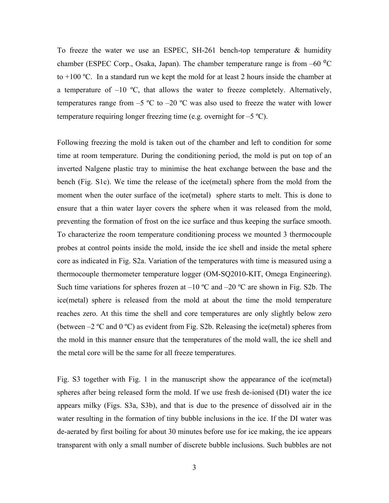To freeze the water we use an ESPEC, SH-261 bench-top temperature & humidity chamber (ESPEC Corp., Osaka, Japan). The chamber temperature range is from  $-60\text{ °C}$ to  $+100$  °C. In a standard run we kept the mold for at least 2 hours inside the chamber at a temperature of  $-10$  °C, that allows the water to freeze completely. Alternatively, temperatures range from  $-5$  °C to  $-20$  °C was also used to freeze the water with lower temperature requiring longer freezing time (e.g. overnight for  $-5 \degree C$ ).

Following freezing the mold is taken out of the chamber and left to condition for some time at room temperature. During the conditioning period, the mold is put on top of an inverted Nalgene plastic tray to minimise the heat exchange between the base and the bench (Fig. S1c). We time the release of the ice(metal) sphere from the mold from the moment when the outer surface of the ice(metal) sphere starts to melt. This is done to ensure that a thin water layer covers the sphere when it was released from the mold, preventing the formation of frost on the ice surface and thus keeping the surface smooth. To characterize the room temperature conditioning process we mounted 3 thermocouple probes at control points inside the mold, inside the ice shell and inside the metal sphere core as indicated in Fig. S2a. Variation of the temperatures with time is measured using a thermocouple thermometer temperature logger (OM-SQ2010-KIT, Omega Engineering). Such time variations for spheres frozen at  $-10$  °C and  $-20$  °C are shown in Fig. S2b. The ice(metal) sphere is released from the mold at about the time the mold temperature reaches zero. At this time the shell and core temperatures are only slightly below zero (between  $-2$  °C and 0 °C) as evident from Fig. S2b. Releasing the ice(metal) spheres from the mold in this manner ensure that the temperatures of the mold wall, the ice shell and the metal core will be the same for all freeze temperatures.

Fig. S3 together with Fig. 1 in the manuscript show the appearance of the ice(metal) spheres after being released form the mold. If we use fresh de-ionised (DI) water the ice appears milky (Figs. S3a, S3b), and that is due to the presence of dissolved air in the water resulting in the formation of tiny bubble inclusions in the ice. If the DI water was de-aerated by first boiling for about 30 minutes before use for ice making, the ice appears transparent with only a small number of discrete bubble inclusions. Such bubbles are not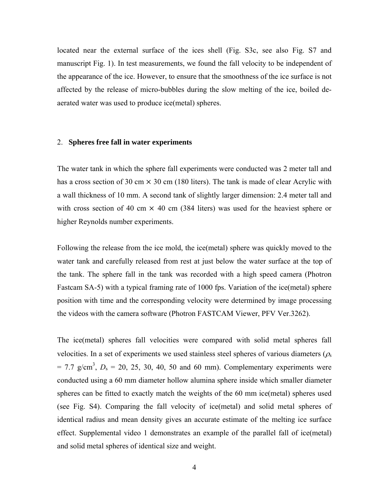located near the external surface of the ices shell (Fig. S3c, see also Fig. S7 and manuscript Fig. 1). In test measurements, we found the fall velocity to be independent of the appearance of the ice. However, to ensure that the smoothness of the ice surface is not affected by the release of micro-bubbles during the slow melting of the ice, boiled deaerated water was used to produce ice(metal) spheres.

#### 2. **Spheres free fall in water experiments**

The water tank in which the sphere fall experiments were conducted was 2 meter tall and has a cross section of 30 cm  $\times$  30 cm (180 liters). The tank is made of clear Acrylic with a wall thickness of 10 mm. A second tank of slightly larger dimension: 2.4 meter tall and with cross section of 40 cm  $\times$  40 cm (384 liters) was used for the heaviest sphere or higher Reynolds number experiments.

Following the release from the ice mold, the ice(metal) sphere was quickly moved to the water tank and carefully released from rest at just below the water surface at the top of the tank. The sphere fall in the tank was recorded with a high speed camera (Photron Fastcam SA-5) with a typical framing rate of 1000 fps. Variation of the ice(metal) sphere position with time and the corresponding velocity were determined by image processing the videos with the camera software (Photron FASTCAM Viewer, PFV Ver.3262).

The ice(metal) spheres fall velocities were compared with solid metal spheres fall velocities. In a set of experiments we used stainless steel spheres of various diameters ( $\rho_s$ )  $= 7.7$  g/cm<sup>3</sup>,  $D_s = 20$ , 25, 30, 40, 50 and 60 mm). Complementary experiments were conducted using a 60 mm diameter hollow alumina sphere inside which smaller diameter spheres can be fitted to exactly match the weights of the 60 mm ice(metal) spheres used (see Fig. S4). Comparing the fall velocity of ice(metal) and solid metal spheres of identical radius and mean density gives an accurate estimate of the melting ice surface effect. Supplemental video 1 demonstrates an example of the parallel fall of ice(metal) and solid metal spheres of identical size and weight.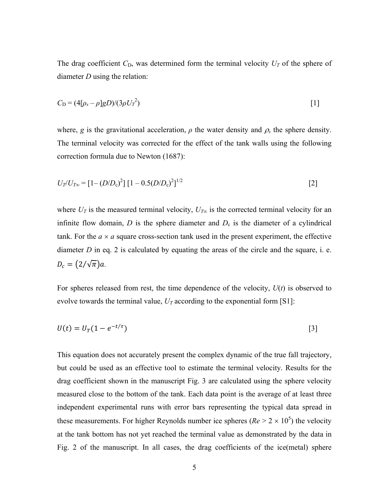The drag coefficient  $C_D$ , was determined form the terminal velocity  $U_T$  of the sphere of diameter *D* using the relation:

$$
C_{\rm D} = (4[\rho_s - \rho]gD)/(3\rho U_T^2) \tag{1}
$$

where, *g* is the gravitational acceleration,  $\rho$  the water density and  $\rho_s$  the sphere density. The terminal velocity was corrected for the effect of the tank walls using the following correction formula due to Newton (1687):

$$
U_T / U_{T\infty} = [1 - (D/D_c)^2] [1 - 0.5(D/D_c)^2]^{1/2}
$$
 [2]

where  $U_T$  is the measured terminal velocity,  $U_{T\infty}$  is the corrected terminal velocity for an infinite flow domain,  $D$  is the sphere diameter and  $D<sub>c</sub>$  is the diameter of a cylindrical tank. For the  $a \times a$  square cross-section tank used in the present experiment, the effective diameter *D* in eq. 2 is calculated by equating the areas of the circle and the square, i. e.  $D_c = (2/\sqrt{\pi})a$ .

For spheres released from rest, the time dependence of the velocity, *U*(*t*) is observed to evolve towards the terminal value,  $U_T$  according to the exponential form [S1]:

$$
U(t) = U_T (1 - e^{-t/\tau})
$$
 [3]

This equation does not accurately present the complex dynamic of the true fall trajectory, but could be used as an effective tool to estimate the terminal velocity. Results for the drag coefficient shown in the manuscript Fig. 3 are calculated using the sphere velocity measured close to the bottom of the tank. Each data point is the average of at least three independent experimental runs with error bars representing the typical data spread in these measurements. For higher Reynolds number ice spheres  $(Re > 2 \times 10^5)$  the velocity at the tank bottom has not yet reached the terminal value as demonstrated by the data in Fig. 2 of the manuscript. In all cases, the drag coefficients of the ice(metal) sphere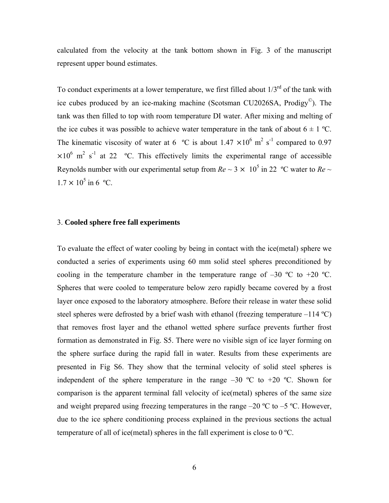calculated from the velocity at the tank bottom shown in Fig. 3 of the manuscript represent upper bound estimates.

To conduct experiments at a lower temperature, we first filled about  $1/3^{rd}$  of the tank with ice cubes produced by an ice-making machine (Scotsman CU2026SA, Prodigy©). The tank was then filled to top with room temperature DI water. After mixing and melting of the ice cubes it was possible to achieve water temperature in the tank of about  $6 \pm 1$  °C. The kinematic viscosity of water at 6  $^{\circ}$ C is about 1.47  $\times 10^{6}$  m<sup>2</sup> s<sup>-1</sup> compared to 0.97  $\times 10^6$  m<sup>2</sup> s<sup>-1</sup> at 22 °C. This effectively limits the experimental range of accessible Reynolds number with our experimental setup from  $Re \sim 3 \times 10^5$  in 22 °C water to  $Re \sim$  $1.7 \times 10^5$  in 6 °C.

#### 3. **Cooled sphere free fall experiments**

To evaluate the effect of water cooling by being in contact with the ice(metal) sphere we conducted a series of experiments using 60 mm solid steel spheres preconditioned by cooling in the temperature chamber in the temperature range of  $-30$  °C to  $+20$  °C. Spheres that were cooled to temperature below zero rapidly became covered by a frost layer once exposed to the laboratory atmosphere. Before their release in water these solid steel spheres were defrosted by a brief wash with ethanol (freezing temperature  $-114 \text{ }^{\circ}\text{C}$ ) that removes frost layer and the ethanol wetted sphere surface prevents further frost formation as demonstrated in Fig. S5. There were no visible sign of ice layer forming on the sphere surface during the rapid fall in water. Results from these experiments are presented in Fig S6. They show that the terminal velocity of solid steel spheres is independent of the sphere temperature in the range  $-30$  °C to  $+20$  °C. Shown for comparison is the apparent terminal fall velocity of ice(metal) spheres of the same size and weight prepared using freezing temperatures in the range  $-20$  °C to  $-5$  °C. However, due to the ice sphere conditioning process explained in the previous sections the actual temperature of all of ice(metal) spheres in the fall experiment is close to 0 ºC.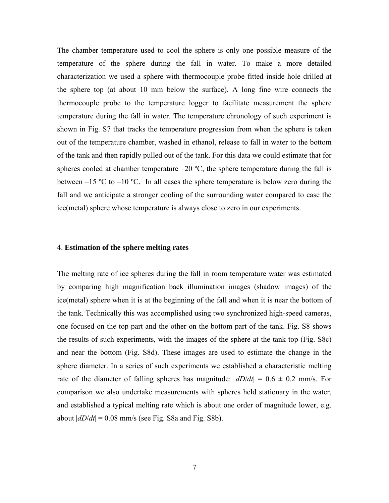The chamber temperature used to cool the sphere is only one possible measure of the temperature of the sphere during the fall in water. To make a more detailed characterization we used a sphere with thermocouple probe fitted inside hole drilled at the sphere top (at about 10 mm below the surface). A long fine wire connects the thermocouple probe to the temperature logger to facilitate measurement the sphere temperature during the fall in water. The temperature chronology of such experiment is shown in Fig. S7 that tracks the temperature progression from when the sphere is taken out of the temperature chamber, washed in ethanol, release to fall in water to the bottom of the tank and then rapidly pulled out of the tank. For this data we could estimate that for spheres cooled at chamber temperature  $-20$  °C, the sphere temperature during the fall is between  $-15 \text{ °C}$  to  $-10 \text{ °C}$ . In all cases the sphere temperature is below zero during the fall and we anticipate a stronger cooling of the surrounding water compared to case the ice(metal) sphere whose temperature is always close to zero in our experiments.

#### 4. **Estimation of the sphere melting rates**

The melting rate of ice spheres during the fall in room temperature water was estimated by comparing high magnification back illumination images (shadow images) of the ice(metal) sphere when it is at the beginning of the fall and when it is near the bottom of the tank. Technically this was accomplished using two synchronized high-speed cameras, one focused on the top part and the other on the bottom part of the tank. Fig. S8 shows the results of such experiments, with the images of the sphere at the tank top (Fig. S8c) and near the bottom (Fig. S8d). These images are used to estimate the change in the sphere diameter. In a series of such experiments we established a characteristic melting rate of the diameter of falling spheres has magnitude:  $|dD/dt| = 0.6 \pm 0.2$  mm/s. For comparison we also undertake measurements with spheres held stationary in the water, and established a typical melting rate which is about one order of magnitude lower, e.g. about  $|dD/dt| = 0.08$  mm/s (see Fig. S8a and Fig. S8b).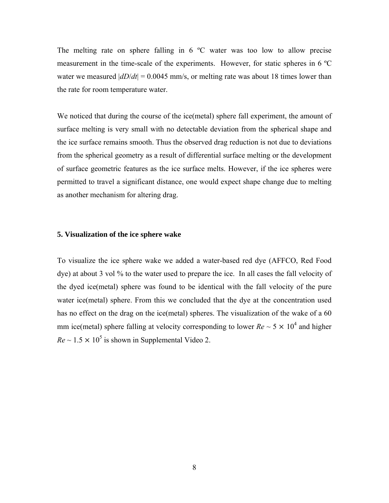The melting rate on sphere falling in  $6^{\circ}$ C water was too low to allow precise measurement in the time-scale of the experiments. However, for static spheres in 6 ºC water we measured  $|dD/dt| = 0.0045$  mm/s, or melting rate was about 18 times lower than the rate for room temperature water.

We noticed that during the course of the ice(metal) sphere fall experiment, the amount of surface melting is very small with no detectable deviation from the spherical shape and the ice surface remains smooth. Thus the observed drag reduction is not due to deviations from the spherical geometry as a result of differential surface melting or the development of surface geometric features as the ice surface melts. However, if the ice spheres were permitted to travel a significant distance, one would expect shape change due to melting as another mechanism for altering drag.

# **5. Visualization of the ice sphere wake**

To visualize the ice sphere wake we added a water-based red dye (AFFCO, Red Food dye) at about 3 vol % to the water used to prepare the ice. In all cases the fall velocity of the dyed ice(metal) sphere was found to be identical with the fall velocity of the pure water ice(metal) sphere. From this we concluded that the dye at the concentration used has no effect on the drag on the ice(metal) spheres. The visualization of the wake of a 60 mm ice(metal) sphere falling at velocity corresponding to lower  $Re \sim 5 \times 10^4$  and higher  $Re \sim 1.5 \times 10^5$  is shown in Supplemental Video 2.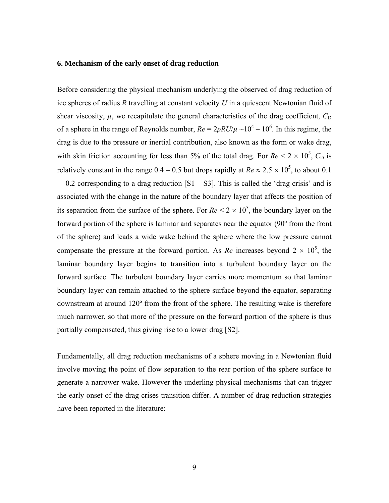# **6. Mechanism of the early onset of drag reduction**

Before considering the physical mechanism underlying the observed of drag reduction of ice spheres of radius *R* travelling at constant velocity *U* in a quiescent Newtonian fluid of shear viscosity,  $\mu$ , we recapitulate the general characteristics of the drag coefficient,  $C_D$ of a sphere in the range of Reynolds number,  $Re = 2\rho RU/\mu \sim 10^4 - 10^6$ . In this regime, the drag is due to the pressure or inertial contribution, also known as the form or wake drag, with skin friction accounting for less than 5% of the total drag. For  $Re < 2 \times 10^5$ ,  $C_D$  is relatively constant in the range  $0.4 - 0.5$  but drops rapidly at  $Re \approx 2.5 \times 10^5$ , to about 0.1  $-$  0.2 corresponding to a drag reduction  $[S1 - S3]$ . This is called the 'drag crisis' and is associated with the change in the nature of the boundary layer that affects the position of its separation from the surface of the sphere. For  $Re < 2 \times 10^5$ , the boundary layer on the forward portion of the sphere is laminar and separates near the equator (90º from the front of the sphere) and leads a wide wake behind the sphere where the low pressure cannot compensate the pressure at the forward portion. As *Re* increases beyond  $2 \times 10^5$ , the laminar boundary layer begins to transition into a turbulent boundary layer on the forward surface. The turbulent boundary layer carries more momentum so that laminar boundary layer can remain attached to the sphere surface beyond the equator, separating downstream at around 120º from the front of the sphere. The resulting wake is therefore much narrower, so that more of the pressure on the forward portion of the sphere is thus partially compensated, thus giving rise to a lower drag [S2].

Fundamentally, all drag reduction mechanisms of a sphere moving in a Newtonian fluid involve moving the point of flow separation to the rear portion of the sphere surface to generate a narrower wake. However the underling physical mechanisms that can trigger the early onset of the drag crises transition differ. A number of drag reduction strategies have been reported in the literature: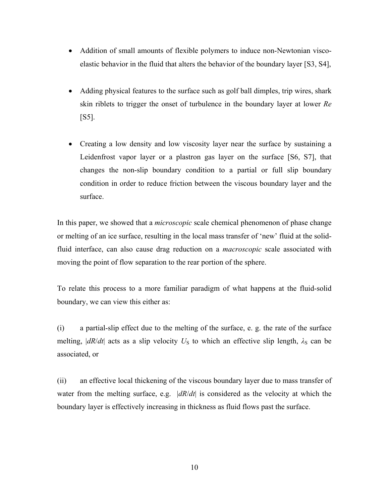- Addition of small amounts of flexible polymers to induce non-Newtonian viscoelastic behavior in the fluid that alters the behavior of the boundary layer [S3, S4],
- Adding physical features to the surface such as golf ball dimples, trip wires, shark skin riblets to trigger the onset of turbulence in the boundary layer at lower *Re*  [S5].
- Creating a low density and low viscosity layer near the surface by sustaining a Leidenfrost vapor layer or a plastron gas layer on the surface [S6, S7], that changes the non-slip boundary condition to a partial or full slip boundary condition in order to reduce friction between the viscous boundary layer and the surface.

In this paper, we showed that a *microscopic* scale chemical phenomenon of phase change or melting of an ice surface, resulting in the local mass transfer of 'new' fluid at the solidfluid interface, can also cause drag reduction on a *macroscopic* scale associated with moving the point of flow separation to the rear portion of the sphere.

To relate this process to a more familiar paradigm of what happens at the fluid-solid boundary, we can view this either as:

(i) a partial-slip effect due to the melting of the surface, e. g. the rate of the surface melting,  $|dR/dt|$  acts as a slip velocity  $U<sub>S</sub>$  to which an effective slip length,  $\lambda<sub>S</sub>$  can be associated, or

(ii) an effective local thickening of the viscous boundary layer due to mass transfer of water from the melting surface, e.g. |*dR*/*dt*| is considered as the velocity at which the boundary layer is effectively increasing in thickness as fluid flows past the surface.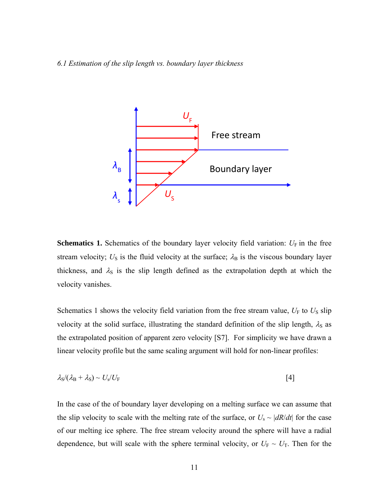# *6.1 Estimation of the slip length vs. boundary layer thickness*



**Schematics 1.** Schematics of the boundary layer velocity field variation:  $U_F$  in the free stream velocity;  $U_S$  is the fluid velocity at the surface;  $\lambda_B$  is the viscous boundary layer thickness, and  $\lambda_s$  is the slip length defined as the extrapolation depth at which the velocity vanishes.

Schematics 1 shows the velocity field variation from the free stream value,  $U_F$  to  $U_S$  slip velocity at the solid surface, illustrating the standard definition of the slip length,  $\lambda_{\rm S}$  as the extrapolated position of apparent zero velocity [S7]. For simplicity we have drawn a linear velocity profile but the same scaling argument will hold for non-linear profiles:

$$
\lambda_{\rm S}/(\lambda_{\rm B}+\lambda_{\rm S})\sim U_{\rm s}/U_{\rm F}
$$

In the case of the of boundary layer developing on a melting surface we can assume that the slip velocity to scale with the melting rate of the surface, or  $U_s \sim |dR/dt|$  for the case of our melting ice sphere. The free stream velocity around the sphere will have a radial dependence, but will scale with the sphere terminal velocity, or  $U_F \sim U_T$ . Then for the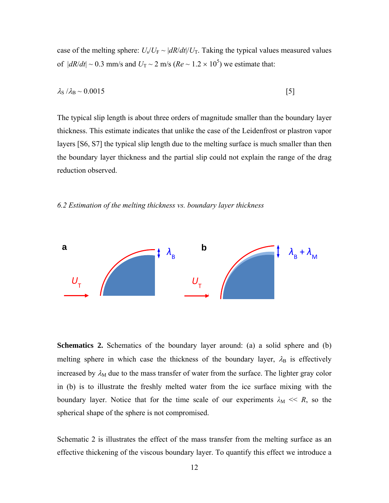case of the melting sphere:  $U_s/U_F \sim |dR/dt|/U_T$ . Taking the typical values measured values of  $|dR/dt| \sim 0.3$  mm/s and  $U_T \sim 2$  m/s  $(Re \sim 1.2 \times 10^5)$  we estimate that:

$$
\lambda_{\rm S} / \lambda_{\rm B} \sim 0.0015 \tag{5}
$$

The typical slip length is about three orders of magnitude smaller than the boundary layer thickness. This estimate indicates that unlike the case of the Leidenfrost or plastron vapor layers [S6, S7] the typical slip length due to the melting surface is much smaller than then the boundary layer thickness and the partial slip could not explain the range of the drag reduction observed.

#### *6.2 Estimation of the melting thickness vs. boundary layer thickness*



**Schematics 2.** Schematics of the boundary layer around: (a) a solid sphere and (b) melting sphere in which case the thickness of the boundary layer,  $\lambda_B$  is effectively increased by  $\lambda_M$  due to the mass transfer of water from the surface. The lighter gray color in (b) is to illustrate the freshly melted water from the ice surface mixing with the boundary layer. Notice that for the time scale of our experiments  $\lambda_M \ll R$ , so the spherical shape of the sphere is not compromised.

Schematic 2 is illustrates the effect of the mass transfer from the melting surface as an effective thickening of the viscous boundary layer. To quantify this effect we introduce a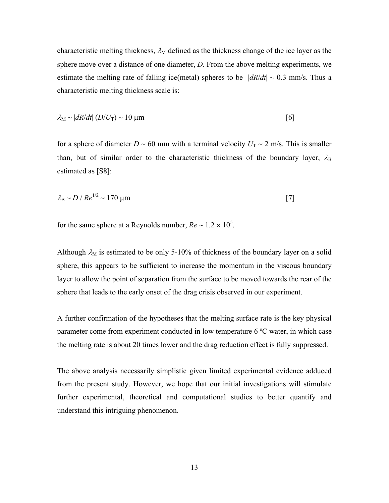characteristic melting thickness,  $\lambda_M$  defined as the thickness change of the ice layer as the sphere move over a distance of one diameter, *D*. From the above melting experiments, we estimate the melting rate of falling ice(metal) spheres to be  $|dR/dt| \sim 0.3$  mm/s. Thus a characteristic melting thickness scale is:

$$
\lambda_{\rm M} \sim |dR/dt| \left( D/U_{\rm T} \right) \sim 10 \, \mu \text{m} \tag{6}
$$

for a sphere of diameter  $D \sim 60$  mm with a terminal velocity  $U_T \sim 2$  m/s. This is smaller than, but of similar order to the characteristic thickness of the boundary layer,  $\lambda_{\rm B}$ estimated as [S8]:

$$
\lambda_{\rm B} \sim D / Re^{1/2} \sim 170 \text{ }\mu\text{m}
$$

for the same sphere at a Reynolds number,  $Re \sim 1.2 \times 10^5$ .

Although  $\lambda_M$  is estimated to be only 5-10% of thickness of the boundary layer on a solid sphere, this appears to be sufficient to increase the momentum in the viscous boundary layer to allow the point of separation from the surface to be moved towards the rear of the sphere that leads to the early onset of the drag crisis observed in our experiment.

A further confirmation of the hypotheses that the melting surface rate is the key physical parameter come from experiment conducted in low temperature 6 ºC water, in which case the melting rate is about 20 times lower and the drag reduction effect is fully suppressed.

The above analysis necessarily simplistic given limited experimental evidence adduced from the present study. However, we hope that our initial investigations will stimulate further experimental, theoretical and computational studies to better quantify and understand this intriguing phenomenon.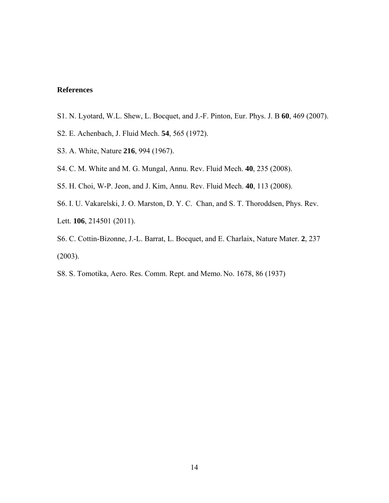# **References**

- S1. N. Lyotard, W.L. Shew, L. Bocquet, and J.-F. Pinton, Eur. Phys. J. B **60**, 469 (2007).
- S2. E. Achenbach, J. Fluid Mech. **54**, 565 (1972).
- S3. A. White, Nature **216**, 994 (1967).
- S4. C. M. White and M. G. Mungal, Annu. Rev. Fluid Mech. **40**, 235 (2008).
- S5. H. Choi, W-P. Jeon, and J. Kim, Annu. Rev. Fluid Mech. **40**, 113 (2008).
- S6. I. U. Vakarelski, J. O. Marston, D. Y. C. Chan, and S. T. Thoroddsen, Phys. Rev. Lett. **106**, 214501 (2011).
- S6. C. Cottin-Bizonne, J.-L. Barrat, L. Bocquet, and E. Charlaix, Nature Mater. **2**, 237 (2003).
- S8. S. Tomotika, Aero. Res. Comm. Rept. and Memo. No. 1678, 86 (1937)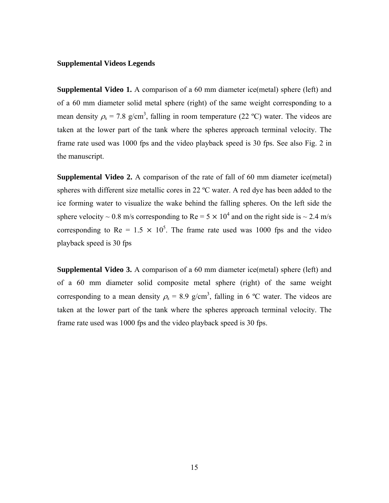## **Supplemental Videos Legends**

**Supplemental Video 1.** A comparison of a 60 mm diameter ice(metal) sphere (left) and of a 60 mm diameter solid metal sphere (right) of the same weight corresponding to a mean density  $\rho_s = 7.8$  g/cm<sup>3</sup>, falling in room temperature (22 °C) water. The videos are taken at the lower part of the tank where the spheres approach terminal velocity. The frame rate used was 1000 fps and the video playback speed is 30 fps. See also Fig. 2 in the manuscript.

**Supplemental Video 2.** A comparison of the rate of fall of 60 mm diameter ice(metal) spheres with different size metallic cores in 22 ºC water. A red dye has been added to the ice forming water to visualize the wake behind the falling spheres. On the left side the sphere velocity ~ 0.8 m/s corresponding to Re =  $5 \times 10^4$  and on the right side is ~ 2.4 m/s corresponding to Re =  $1.5 \times 10^5$ . The frame rate used was 1000 fps and the video playback speed is 30 fps

**Supplemental Video 3.** A comparison of a 60 mm diameter ice(metal) sphere (left) and of a 60 mm diameter solid composite metal sphere (right) of the same weight corresponding to a mean density  $\rho_s = 8.9$  g/cm<sup>3</sup>, falling in 6 °C water. The videos are taken at the lower part of the tank where the spheres approach terminal velocity. The frame rate used was 1000 fps and the video playback speed is 30 fps.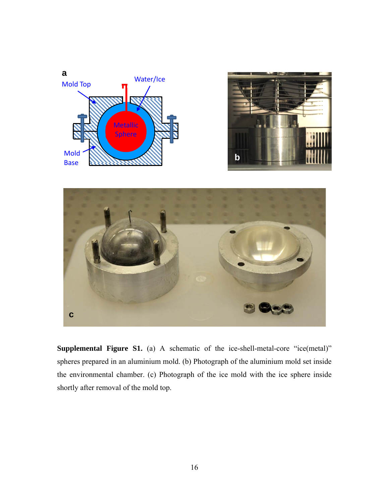



**Supplemental Figure S1.** (a) A schematic of the ice-shell-metal-core "ice(metal)" spheres prepared in an aluminium mold. (b) Photograph of the aluminium mold set inside the environmental chamber. (c) Photograph of the ice mold with the ice sphere inside shortly after removal of the mold top.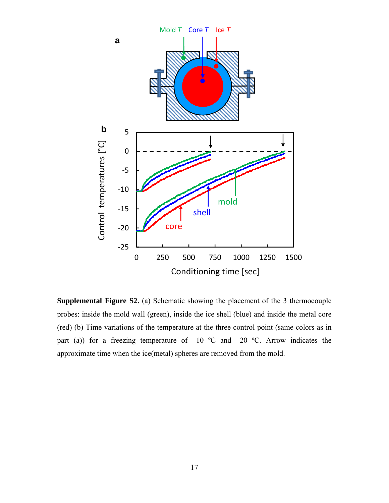

**Supplemental Figure S2.** (a) Schematic showing the placement of the 3 thermocouple probes: inside the mold wall (green), inside the ice shell (blue) and inside the metal core (red) (b) Time variations of the temperature at the three control point (same colors as in part (a)) for a freezing temperature of  $-10$  °C and  $-20$  °C. Arrow indicates the approximate time when the ice(metal) spheres are removed from the mold.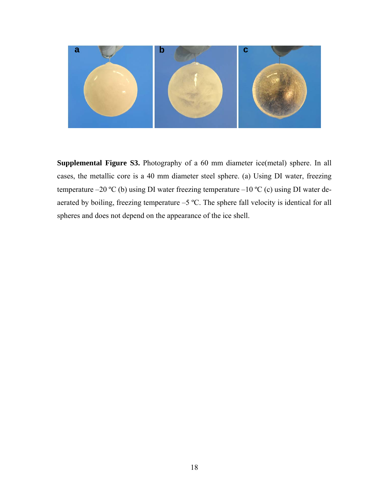

**Supplemental Figure S3.** Photography of a 60 mm diameter ice(metal) sphere. In all cases, the metallic core is a 40 mm diameter steel sphere. (a) Using DI water, freezing temperature –20 °C (b) using DI water freezing temperature –10 °C (c) using DI water deaerated by boiling, freezing temperature –5 ºC. The sphere fall velocity is identical for all spheres and does not depend on the appearance of the ice shell.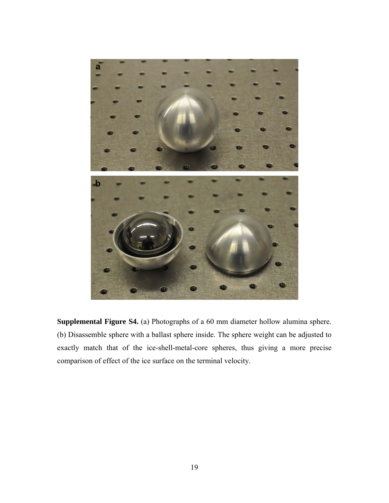

**Supplemental Figure S4.** (a) Photographs of a 60 mm diameter hollow alumina sphere. (b) Disassemble sphere with a ballast sphere inside. The sphere weight can be adjusted to exactly match that of the ice-shell-metal-core spheres, thus giving a more precise comparison of effect of the ice surface on the terminal velocity.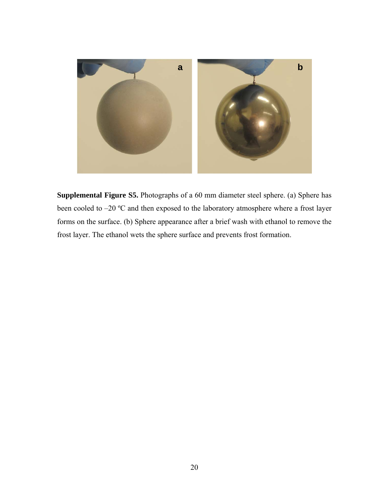

**Supplemental Figure S5.** Photographs of a 60 mm diameter steel sphere. (a) Sphere has been cooled to –20 ºC and then exposed to the laboratory atmosphere where a frost layer forms on the surface. (b) Sphere appearance after a brief wash with ethanol to remove the frost layer. The ethanol wets the sphere surface and prevents frost formation.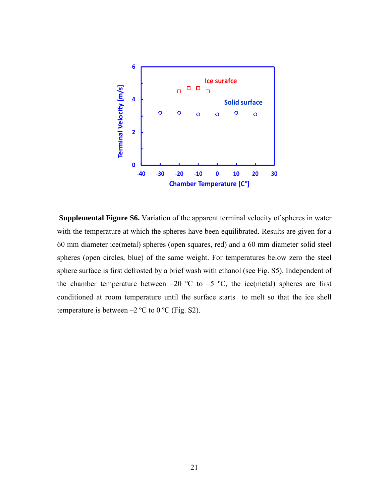

**Supplemental Figure S6.** Variation of the apparent terminal velocity of spheres in water with the temperature at which the spheres have been equilibrated. Results are given for a 60 mm diameter ice(metal) spheres (open squares, red) and a 60 mm diameter solid steel spheres (open circles, blue) of the same weight. For temperatures below zero the steel sphere surface is first defrosted by a brief wash with ethanol (see Fig. S5). Independent of the chamber temperature between  $-20$  °C to  $-5$  °C, the ice(metal) spheres are first conditioned at room temperature until the surface starts to melt so that the ice shell temperature is between  $-2$  °C to 0 °C (Fig. S2).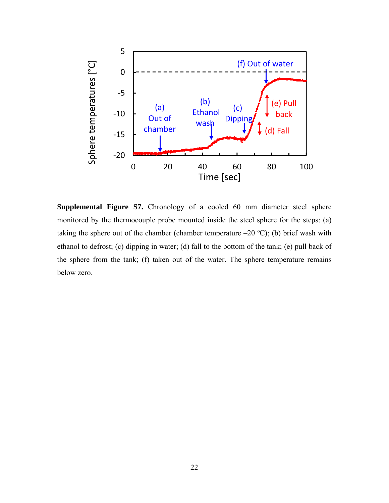

**Supplemental Figure S7.** Chronology of a cooled 60 mm diameter steel sphere monitored by the thermocouple probe mounted inside the steel sphere for the steps: (a) taking the sphere out of the chamber (chamber temperature  $-20$  °C); (b) brief wash with ethanol to defrost; (c) dipping in water; (d) fall to the bottom of the tank; (e) pull back of the sphere from the tank; (f) taken out of the water. The sphere temperature remains below zero.